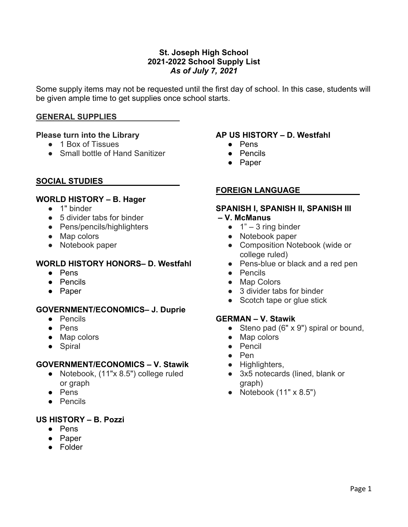## **St. Joseph High School 2021-2022 School Supply List** *As of July 7, 2021*

Some supply items may not be requested until the first day of school. In this case, students will be given ample time to get supplies once school starts.

## **GENERAL SUPPLIES**

## **Please turn into the Library**

- 1 Box of Tissues
- Small bottle of Hand Sanitizer

### **SOCIAL STUDIES**

## **WORLD HISTORY – B. Hager**

- 1" binder
- 5 divider tabs for binder
- Pens/pencils/highlighters
- Map colors
- Notebook paper

### **WORLD HISTORY HONORS– D. Westfahl**

- Pens
- Pencils
- Paper

#### **GOVERNMENT/ECONOMICS– J. Duprie**

- Pencils
- Pens
- Map colors
- Spiral

#### **GOVERNMENT/ECONOMICS – V. Stawik**

- Notebook, (11"x 8.5") college ruled or graph
- Pens
- Pencils

## **US HISTORY – B. Pozzi**

- Pens
- Paper
- Folder

## **AP US HISTORY – D. Westfahl**

- Pens
- Pencils
- Paper

### **FOREIGN LANGUAGE**

## **SPANISH I, SPANISH II, SPANISH III**

#### **– V. McManus**

- $\bullet$  1" 3 ring binder
- Notebook paper
- Composition Notebook (wide or college ruled)
- Pens-blue or black and a red pen
- Pencils
- Map Colors
- 3 divider tabs for binder
- Scotch tape or glue stick

#### **GERMAN – V. Stawik**

- Steno pad (6" x 9") spiral or bound,
- Map colors
- Pencil
- Pen
- Highlighters,
- 3x5 notecards (lined, blank or graph)
- Notebook  $(11" \times 8.5")$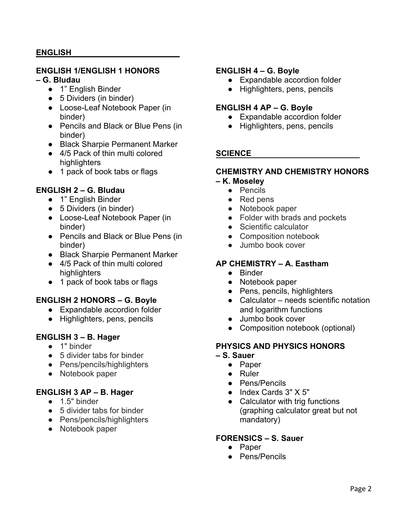## **ENGLISH**

## **ENGLISH 1/ENGLISH 1 HONORS**

#### **– G. Bludau**

- 1" English Binder
- 5 Dividers (in binder)
- Loose-Leaf Notebook Paper (in binder)
- Pencils and Black or Blue Pens (in binder)
- Black Sharpie Permanent Marker
- 4/5 Pack of thin multi colored highlighters
- 1 pack of book tabs or flags

## **ENGLISH 2 – G. Bludau**

- 1" English Binder
- 5 Dividers (in binder)
- Loose-Leaf Notebook Paper (in binder)
- Pencils and Black or Blue Pens (in binder)
- Black Sharpie Permanent Marker
- 4/5 Pack of thin multi colored highlighters
- 1 pack of book tabs or flags

# **ENGLISH 2 HONORS – G. Boyle**

- Expandable accordion folder
- Highlighters, pens, pencils

## **ENGLISH 3 – B. Hager**

- 1" binder
- 5 divider tabs for binder
- Pens/pencils/highlighters
- Notebook paper

## **ENGLISH 3 AP – B. Hager**

- 1.5" binder
- 5 divider tabs for binder
- Pens/pencils/highlighters
- Notebook paper

### **ENGLISH 4 – G. Boyle**

- Expandable accordion folder
- Highlighters, pens, pencils

## **ENGLISH 4 AP – G. Boyle**

- Expandable accordion folder
- Highlighters, pens, pencils

### **SCIENCE**

## **CHEMISTRY AND CHEMISTRY HONORS**

# **– K. Moseley**

- Pencils
- Red pens
- Notebook paper
- Folder with brads and pockets
- Scientific calculator
- Composition notebook
- Jumbo book cover

## **AP CHEMISTRY – A. Eastham**

- Binder
- Notebook paper
- Pens, pencils, highlighters
- Calculator needs scientific notation and logarithm functions
- Jumbo book cover
- Composition notebook (optional)

## **PHYSICS AND PHYSICS HONORS**

#### **– S. Sauer**

- Paper
- Ruler
- Pens/Pencils
- Index Cards 3" X 5"
- Calculator with trig functions (graphing calculator great but not mandatory)

## **FORENSICS – S. Sauer**

- Paper
	- Pens/Pencils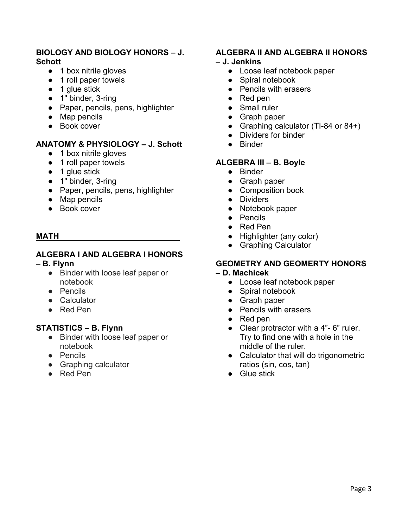## **BIOLOGY AND BIOLOGY HONORS – J. Schott**

- 1 box nitrile gloves
- 1 roll paper towels
- 1 glue stick
- 1" binder, 3-ring
- Paper, pencils, pens, highlighter
- Map pencils
- Book cover

## **ANATOMY & PHYSIOLOGY – J. Schott**

- 1 box nitrile gloves
- 1 roll paper towels
- 1 glue stick
- 1" binder, 3-ring
- Paper, pencils, pens, highlighter
- Map pencils
- Book cover

### **MATH**

# **ALGEBRA I AND ALGEBRA I HONORS**

#### **– B. Flynn**

- Binder with loose leaf paper or notebook
- Pencils
- Calculator
- Red Pen

## **STATISTICS – B. Flynn**

- Binder with loose leaf paper or notebook
- Pencils
- Graphing calculator
- Red Pen

## **ALGEBRA II AND ALGEBRA II HONORS**

#### **– J. Jenkins**

- Loose leaf notebook paper
- Spiral notebook
- Pencils with erasers
- Red pen
- Small ruler
- Graph paper
- Graphing calculator (TI-84 or 84+)
- Dividers for binder
- Binder

## **ALGEBRA III – B. Boyle**

- Binder
- Graph paper
- Composition book
- Dividers
- Notebook paper
- Pencils
- Red Pen
- Highlighter (any color)
- Graphing Calculator

#### **GEOMETRY AND GEOMERTY HONORS – D. Machicek**

- Loose leaf notebook paper
- Spiral notebook
- Graph paper
- Pencils with erasers
- Red pen
- Clear protractor with a 4"- 6" ruler. Try to find one with a hole in the middle of the ruler.
- Calculator that will do trigonometric ratios (sin, cos, tan)
- Glue stick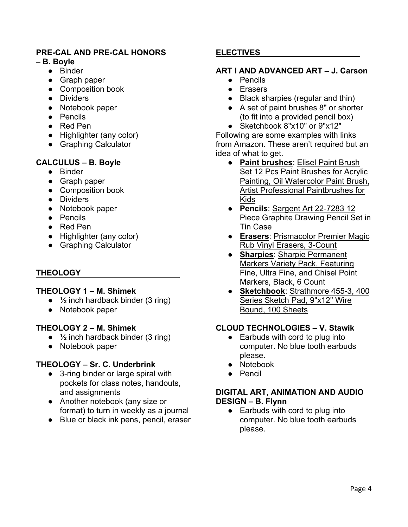# **PRE-CAL AND PRE-CAL HONORS**

### **– B. Boyle**

- Binder
- Graph paper
- Composition book
- Dividers
- Notebook paper
- Pencils
- Red Pen
- Highlighter (any color)
- Graphing Calculator

# **CALCULUS – B. Boyle**

- Binder
- Graph paper
- Composition book
- Dividers
- Notebook paper
- Pencils
- Red Pen
- Highlighter (any color)
- Graphing Calculator

# **THEOLOGY**

## **THEOLOGY 1 – M. Shimek**

- $\bullet$   $\frac{1}{2}$  inch hardback binder (3 ring)
- Notebook paper

## **THEOLOGY 2 – M. Shimek**

- $\bullet$   $\frac{1}{2}$  inch hardback binder (3 ring)
- Notebook paper

# **THEOLOGY – Sr. C. Underbrink**

- 3-ring binder or large spiral with pockets for class notes, handouts, and assignments
- Another notebook (any size or format) to turn in weekly as a journal
- Blue or black ink pens, pencil, eraser

# **ELECTIVES**

# **ART I AND ADVANCED ART – J. Carson**

- Pencils
- Erasers
- Black sharpies (regular and thin)
- A set of paint brushes 8" or shorter (to fit into a provided pencil box)
- Sketchbook 8"x10" or 9"x12"

Following are some examples with links from Amazon. These aren't required but an idea of what to get.

- **Paint brushes**: Elisel Paint Brush Set 12 Pcs Paint Brushes for Acrylic Painting, Oil Watercolor Paint Brush, Artist Professional Paintbrushes for Kids
- **Pencils**: Sargent Art 22-7283 12 Piece Graphite Drawing Pencil Set in Tin Case
- **Erasers**: Prismacolor Premier Magic Rub Vinyl Erasers, 3-Count
- **Sharpies**: Sharpie Permanent Markers Variety Pack, Featuring Fine, Ultra Fine, and Chisel Point Markers, Black, 6 Count
- **Sketchbook**: Strathmore 455-3, 400 Series Sketch Pad, 9"x12" Wire Bound, 100 Sheets

# **CLOUD TECHNOLOGIES – V. Stawik**

- Earbuds with cord to plug into computer. No blue tooth earbuds please.
- Notebook
- Pencil

## **DIGITAL ART, ANIMATION AND AUDIO DESIGN – B. Flynn**

● Earbuds with cord to plug into computer. No blue tooth earbuds please.